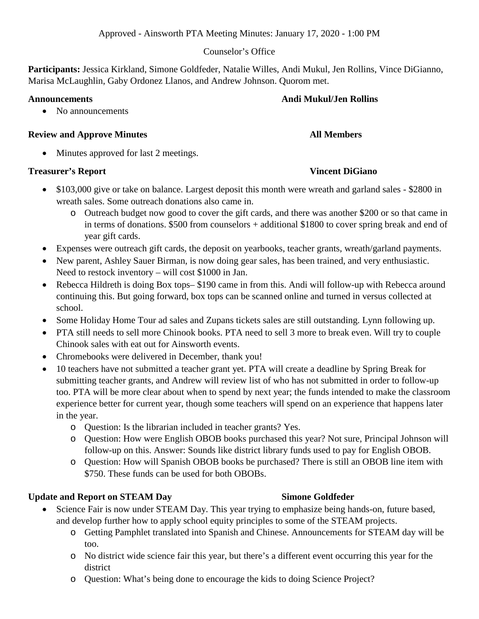### Counselor's Office

**Participants:** Jessica Kirkland, Simone Goldfeder, Natalie Willes, Andi Mukul, Jen Rollins, Vince DiGianno, Marisa McLaughlin, Gaby Ordonez Llanos, and Andrew Johnson. Quorom met.

### **Announcements Andi Mukul/Jen Rollins**

• No announcements

### **Review and Approve Minutes All Members**

Minutes approved for last 2 meetings.

## **Treasurer's Report Community Community Community Community Community Community Community Community Community Community Community Community Community Community Community Community Community Community Community Community Co**

- \$103,000 give or take on balance. Largest deposit this month were wreath and garland sales \$2800 in wreath sales. Some outreach donations also came in.
	- o Outreach budget now good to cover the gift cards, and there was another \$200 or so that came in in terms of donations. \$500 from counselors + additional \$1800 to cover spring break and end of year gift cards.
- Expenses were outreach gift cards, the deposit on yearbooks, teacher grants, wreath/garland payments.
- New parent, Ashley Sauer Birman, is now doing gear sales, has been trained, and very enthusiastic. Need to restock inventory – will cost \$1000 in Jan.
- Rebecca Hildreth is doing Box tops– \$190 came in from this. Andi will follow-up with Rebecca around continuing this. But going forward, box tops can be scanned online and turned in versus collected at school.
- Some Holiday Home Tour ad sales and Zupans tickets sales are still outstanding. Lynn following up.
- PTA still needs to sell more Chinook books. PTA need to sell 3 more to break even. Will try to couple Chinook sales with eat out for Ainsworth events.
- Chromebooks were delivered in December, thank you!
- 10 teachers have not submitted a teacher grant yet. PTA will create a deadline by Spring Break for submitting teacher grants, and Andrew will review list of who has not submitted in order to follow-up too. PTA will be more clear about when to spend by next year; the funds intended to make the classroom experience better for current year, though some teachers will spend on an experience that happens later in the year.
	- o Question: Is the librarian included in teacher grants? Yes.
	- o Question: How were English OBOB books purchased this year? Not sure, Principal Johnson will follow-up on this. Answer: Sounds like district library funds used to pay for English OBOB.
	- o Question: How will Spanish OBOB books be purchased? There is still an OBOB line item with \$750. These funds can be used for both OBOBs.

## Update and Report on STEAM Day Simone Goldfeder

- Science Fair is now under STEAM Day. This year trying to emphasize being hands-on, future based, and develop further how to apply school equity principles to some of the STEAM projects.
	- o Getting Pamphlet translated into Spanish and Chinese. Announcements for STEAM day will be too.
	- o No district wide science fair this year, but there's a different event occurring this year for the district
	- o Question: What's being done to encourage the kids to doing Science Project?